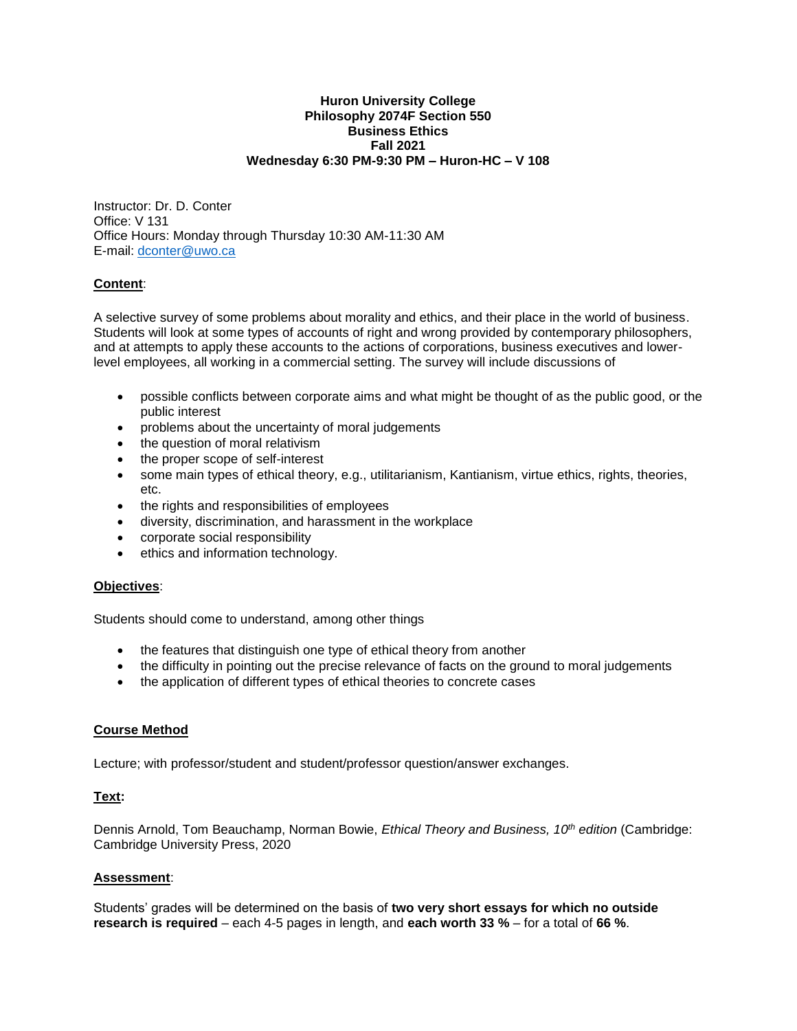#### **Huron University College Philosophy 2074F Section 550 Business Ethics Fall 2021 Wednesday 6:30 PM-9:30 PM – Huron-HC – V 108**

Instructor: Dr. D. Conter Office: V 131 Office Hours: Monday through Thursday 10:30 AM-11:30 AM E-mail: [dconter@uwo.ca](mailto:dconter@uwo.ca)

### **Content**:

A selective survey of some problems about morality and ethics, and their place in the world of business. Students will look at some types of accounts of right and wrong provided by contemporary philosophers, and at attempts to apply these accounts to the actions of corporations, business executives and lowerlevel employees, all working in a commercial setting. The survey will include discussions of

- possible conflicts between corporate aims and what might be thought of as the public good, or the public interest
- problems about the uncertainty of moral judgements
- the question of moral relativism
- the proper scope of self-interest
- some main types of ethical theory, e.g., utilitarianism, Kantianism, virtue ethics, rights, theories, etc.
- the rights and responsibilities of employees
- diversity, discrimination, and harassment in the workplace
- corporate social responsibility
- ethics and information technology.

### **Objectives**:

Students should come to understand, among other things

- the features that distinguish one type of ethical theory from another
- the difficulty in pointing out the precise relevance of facts on the ground to moral judgements
- the application of different types of ethical theories to concrete cases

## **Course Method**

Lecture; with professor/student and student/professor question/answer exchanges.

### **Text:**

Dennis Arnold, Tom Beauchamp, Norman Bowie, *Ethical Theory and Business, 10th edition* (Cambridge: Cambridge University Press, 2020

### **Assessment**:

Students' grades will be determined on the basis of **two very short essays for which no outside research is required** – each 4-5 pages in length, and **each worth 33 %** – for a total of **66 %**.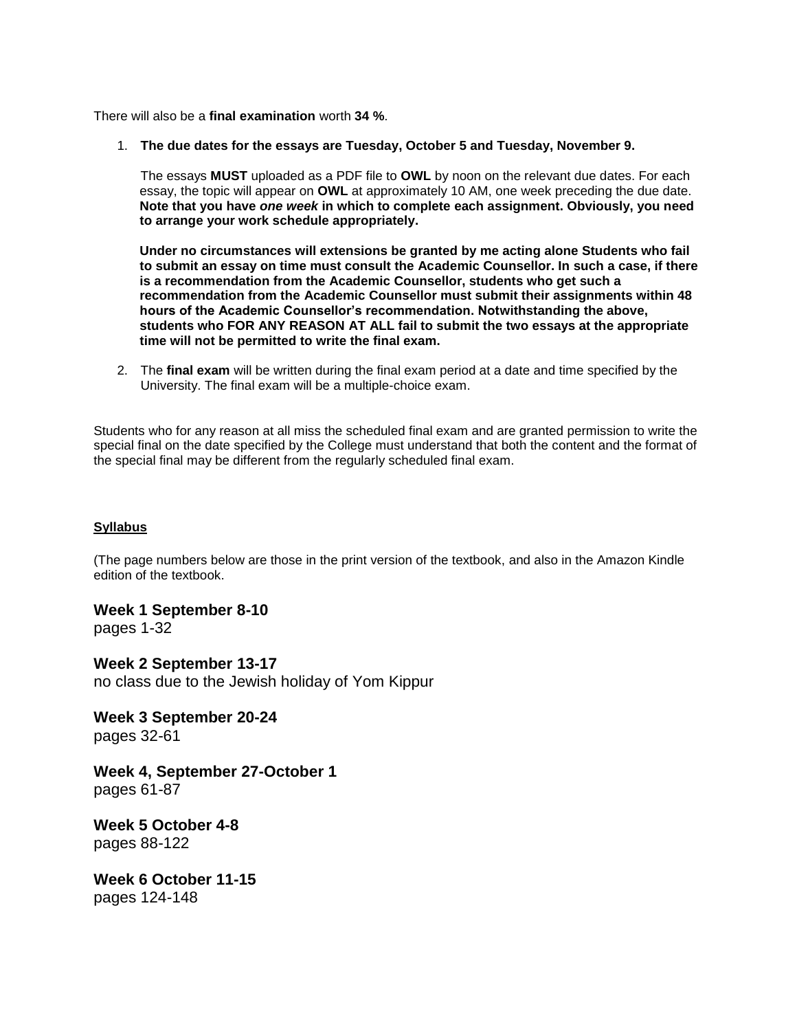There will also be a **final examination** worth **34 %**.

1. **The due dates for the essays are Tuesday, October 5 and Tuesday, November 9.**

The essays **MUST** uploaded as a PDF file to **OWL** by noon on the relevant due dates. For each essay, the topic will appear on **OWL** at approximately 10 AM, one week preceding the due date. **Note that you have** *one week* **in which to complete each assignment. Obviously, you need to arrange your work schedule appropriately.**

**Under no circumstances will extensions be granted by me acting alone Students who fail to submit an essay on time must consult the Academic Counsellor. In such a case, if there is a recommendation from the Academic Counsellor, students who get such a recommendation from the Academic Counsellor must submit their assignments within 48 hours of the Academic Counsellor's recommendation. Notwithstanding the above, students who FOR ANY REASON AT ALL fail to submit the two essays at the appropriate time will not be permitted to write the final exam.**

2. The **final exam** will be written during the final exam period at a date and time specified by the University. The final exam will be a multiple-choice exam.

Students who for any reason at all miss the scheduled final exam and are granted permission to write the special final on the date specified by the College must understand that both the content and the format of the special final may be different from the regularly scheduled final exam.

### **Syllabus**

(The page numbers below are those in the print version of the textbook, and also in the Amazon Kindle edition of the textbook.

**Week 1 September 8-10** pages 1-32

**Week 2 September 13-17** no class due to the Jewish holiday of Yom Kippur

**Week 3 September 20-24**  pages 32-61

**Week 4, September 27-October 1**  pages 61-87

**Week 5 October 4-8** pages 88-122

**Week 6 October 11-15** pages 124-148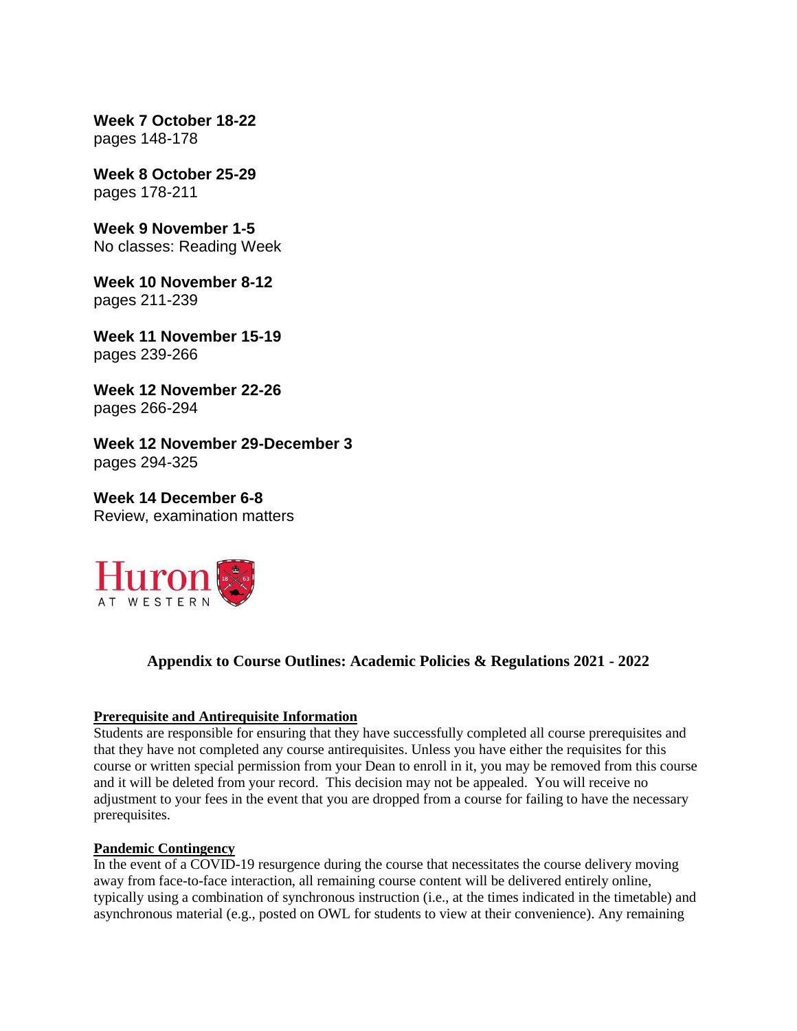**Week 7 October 18-22** pages 148-178

**Week 8 October 25-29** pages 178-211

**Week 9 November 1-5** No classes: Reading Week

**Week 10 November 8-12** pages 211-239

**Week 11 November 15-19** pages 239-266

**Week 12 November 22-26** pages 266-294

**Week 12 November 29-December 3** pages 294-325

**Week 14 December 6-8** Review, examination matters



# **Appendix to Course Outlines: Academic Policies & Regulations 2021 - 2022**

### **Prerequisite and Antirequisite Information**

Students are responsible for ensuring that they have successfully completed all course prerequisites and that they have not completed any course antirequisites. Unless you have either the requisites for this course or written special permission from your Dean to enroll in it, you may be removed from this course and it will be deleted from your record. This decision may not be appealed. You will receive no adjustment to your fees in the event that you are dropped from a course for failing to have the necessary prerequisites.

### **Pandemic Contingency**

In the event of a COVID-19 resurgence during the course that necessitates the course delivery moving away from face-to-face interaction, all remaining course content will be delivered entirely online, typically using a combination of synchronous instruction (i.e., at the times indicated in the timetable) and asynchronous material (e.g., posted on OWL for students to view at their convenience). Any remaining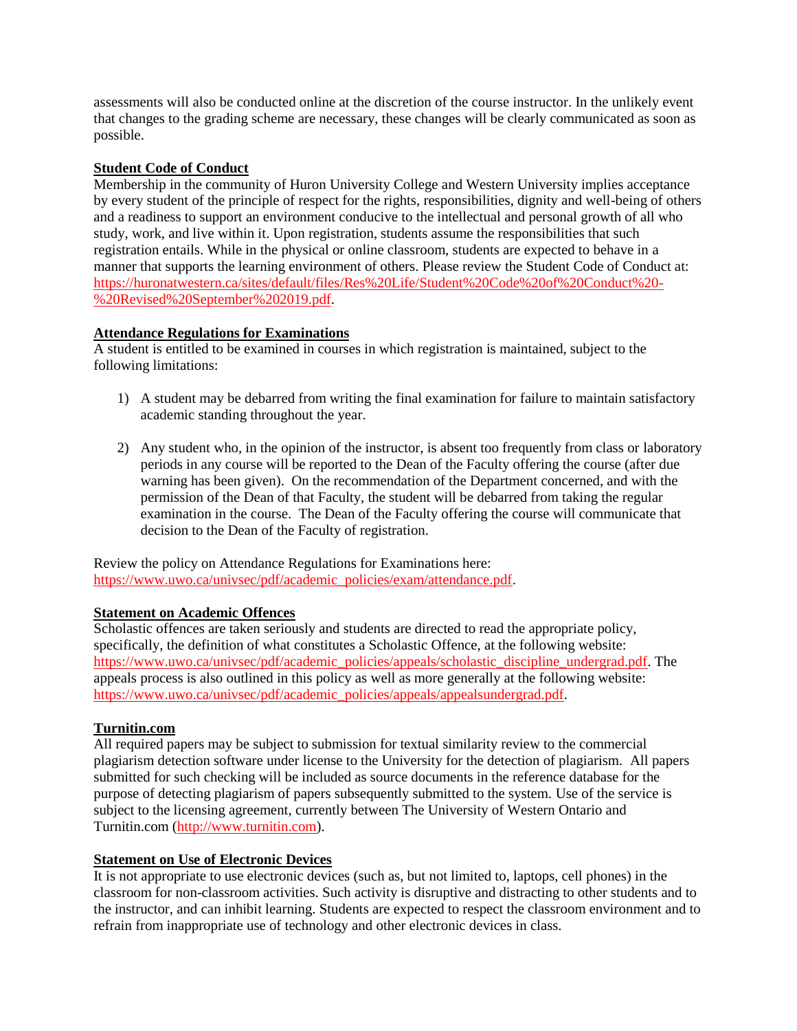assessments will also be conducted online at the discretion of the course instructor. In the unlikely event that changes to the grading scheme are necessary, these changes will be clearly communicated as soon as possible.

## **Student Code of Conduct**

Membership in the community of Huron University College and Western University implies acceptance by every student of the principle of respect for the rights, responsibilities, dignity and well-being of others and a readiness to support an environment conducive to the intellectual and personal growth of all who study, work, and live within it. Upon registration, students assume the responsibilities that such registration entails. While in the physical or online classroom, students are expected to behave in a manner that supports the learning environment of others. Please review the Student Code of Conduct at: [https://huronatwestern.ca/sites/default/files/Res%20Life/Student%20Code%20of%20Conduct%20-](https://huronatwestern.ca/sites/default/files/Res%20Life/Student%20Code%20of%20Conduct%20-%20Revised%20September%202019.pdf) [%20Revised%20September%202019.pdf.](https://huronatwestern.ca/sites/default/files/Res%20Life/Student%20Code%20of%20Conduct%20-%20Revised%20September%202019.pdf)

## **Attendance Regulations for Examinations**

A student is entitled to be examined in courses in which registration is maintained, subject to the following limitations:

- 1) A student may be debarred from writing the final examination for failure to maintain satisfactory academic standing throughout the year.
- 2) Any student who, in the opinion of the instructor, is absent too frequently from class or laboratory periods in any course will be reported to the Dean of the Faculty offering the course (after due warning has been given). On the recommendation of the Department concerned, and with the permission of the Dean of that Faculty, the student will be debarred from taking the regular examination in the course. The Dean of the Faculty offering the course will communicate that decision to the Dean of the Faculty of registration.

Review the policy on Attendance Regulations for Examinations here: [https://www.uwo.ca/univsec/pdf/academic\\_policies/exam/attendance.pdf.](https://www.uwo.ca/univsec/pdf/academic_policies/exam/attendance.pdf)

### **Statement on Academic Offences**

Scholastic offences are taken seriously and students are directed to read the appropriate policy, specifically, the definition of what constitutes a Scholastic Offence, at the following website: [https://www.uwo.ca/univsec/pdf/academic\\_policies/appeals/scholastic\\_discipline\\_undergrad.pdf.](https://www.uwo.ca/univsec/pdf/academic_policies/appeals/scholastic_discipline_undergrad.pdf) The appeals process is also outlined in this policy as well as more generally at the following website: [https://www.uwo.ca/univsec/pdf/academic\\_policies/appeals/appealsundergrad.pdf.](https://www.uwo.ca/univsec/pdf/academic_policies/appeals/appealsundergrad.pdf)

### **Turnitin.com**

All required papers may be subject to submission for textual similarity review to the commercial plagiarism detection software under license to the University for the detection of plagiarism. All papers submitted for such checking will be included as source documents in the reference database for the purpose of detecting plagiarism of papers subsequently submitted to the system. Use of the service is subject to the licensing agreement, currently between The University of Western Ontario and Turnitin.com [\(http://www.turnitin.com\)](http://www.turnitin.com/).

### **Statement on Use of Electronic Devices**

It is not appropriate to use electronic devices (such as, but not limited to, laptops, cell phones) in the classroom for non-classroom activities. Such activity is disruptive and distracting to other students and to the instructor, and can inhibit learning. Students are expected to respect the classroom environment and to refrain from inappropriate use of technology and other electronic devices in class.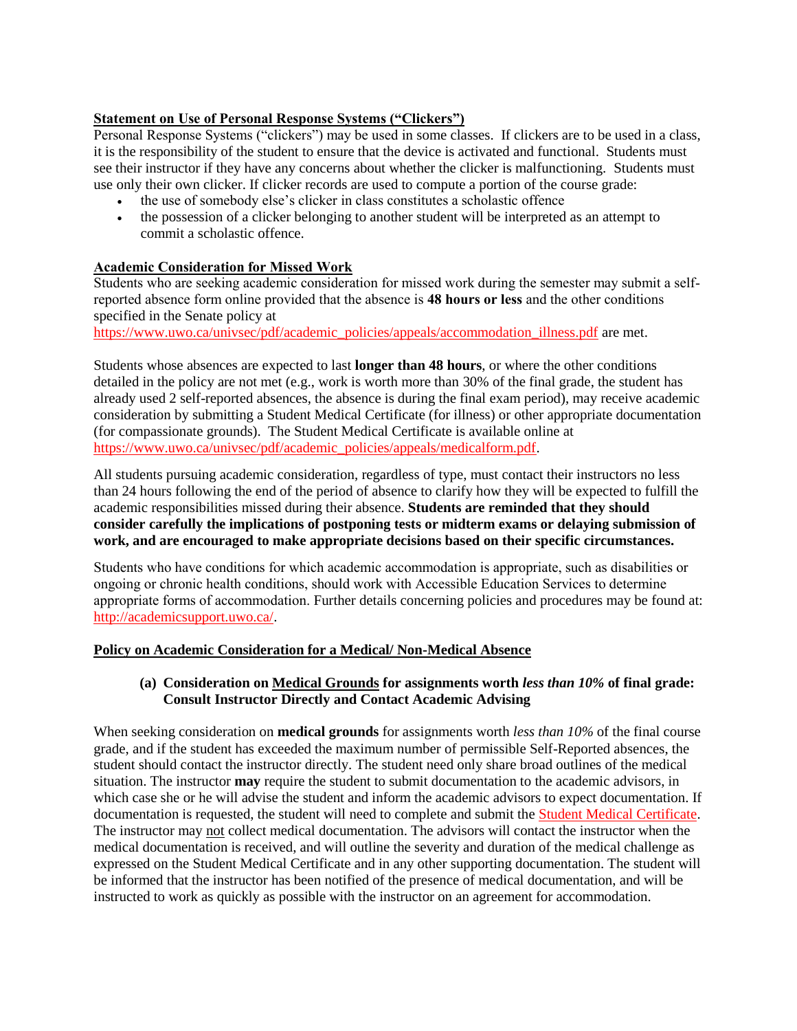## **Statement on Use of Personal Response Systems ("Clickers")**

Personal Response Systems ("clickers") may be used in some classes. If clickers are to be used in a class, it is the responsibility of the student to ensure that the device is activated and functional. Students must see their instructor if they have any concerns about whether the clicker is malfunctioning. Students must use only their own clicker. If clicker records are used to compute a portion of the course grade:

- the use of somebody else's clicker in class constitutes a scholastic offence
- the possession of a clicker belonging to another student will be interpreted as an attempt to commit a scholastic offence.

## **Academic Consideration for Missed Work**

Students who are seeking academic consideration for missed work during the semester may submit a selfreported absence form online provided that the absence is **48 hours or less** and the other conditions specified in the Senate policy at

[https://www.uwo.ca/univsec/pdf/academic\\_policies/appeals/accommodation\\_illness.pdf](https://www.uwo.ca/univsec/pdf/academic_policies/appeals/accommodation_illness.pdf) are met.

Students whose absences are expected to last **longer than 48 hours**, or where the other conditions detailed in the policy are not met (e.g., work is worth more than 30% of the final grade, the student has already used 2 self-reported absences, the absence is during the final exam period), may receive academic consideration by submitting a Student Medical Certificate (for illness) or other appropriate documentation (for compassionate grounds). The Student Medical Certificate is available online at [https://www.uwo.ca/univsec/pdf/academic\\_policies/appeals/medicalform.pdf.](https://www.uwo.ca/univsec/pdf/academic_policies/appeals/medicalform.pdf)

All students pursuing academic consideration, regardless of type, must contact their instructors no less than 24 hours following the end of the period of absence to clarify how they will be expected to fulfill the academic responsibilities missed during their absence. **Students are reminded that they should consider carefully the implications of postponing tests or midterm exams or delaying submission of work, and are encouraged to make appropriate decisions based on their specific circumstances.**

Students who have conditions for which academic accommodation is appropriate, such as disabilities or ongoing or chronic health conditions, should work with Accessible Education Services to determine appropriate forms of accommodation. Further details concerning policies and procedures may be found at: [http://academicsupport.uwo.ca/.](http://academicsupport.uwo.ca/)

### **Policy on Academic Consideration for a Medical/ Non-Medical Absence**

## **(a) Consideration on Medical Grounds for assignments worth** *less than 10%* **of final grade: Consult Instructor Directly and Contact Academic Advising**

When seeking consideration on **medical grounds** for assignments worth *less than 10%* of the final course grade, and if the student has exceeded the maximum number of permissible Self-Reported absences, the student should contact the instructor directly. The student need only share broad outlines of the medical situation. The instructor **may** require the student to submit documentation to the academic advisors, in which case she or he will advise the student and inform the academic advisors to expect documentation. If documentation is requested, the student will need to complete and submit the [Student Medical Certificate.](https://www.uwo.ca/univsec/pdf/academic_policies/appeals/medicalform_15JUN.pdf) The instructor may not collect medical documentation. The advisors will contact the instructor when the medical documentation is received, and will outline the severity and duration of the medical challenge as expressed on the Student Medical Certificate and in any other supporting documentation. The student will be informed that the instructor has been notified of the presence of medical documentation, and will be instructed to work as quickly as possible with the instructor on an agreement for accommodation.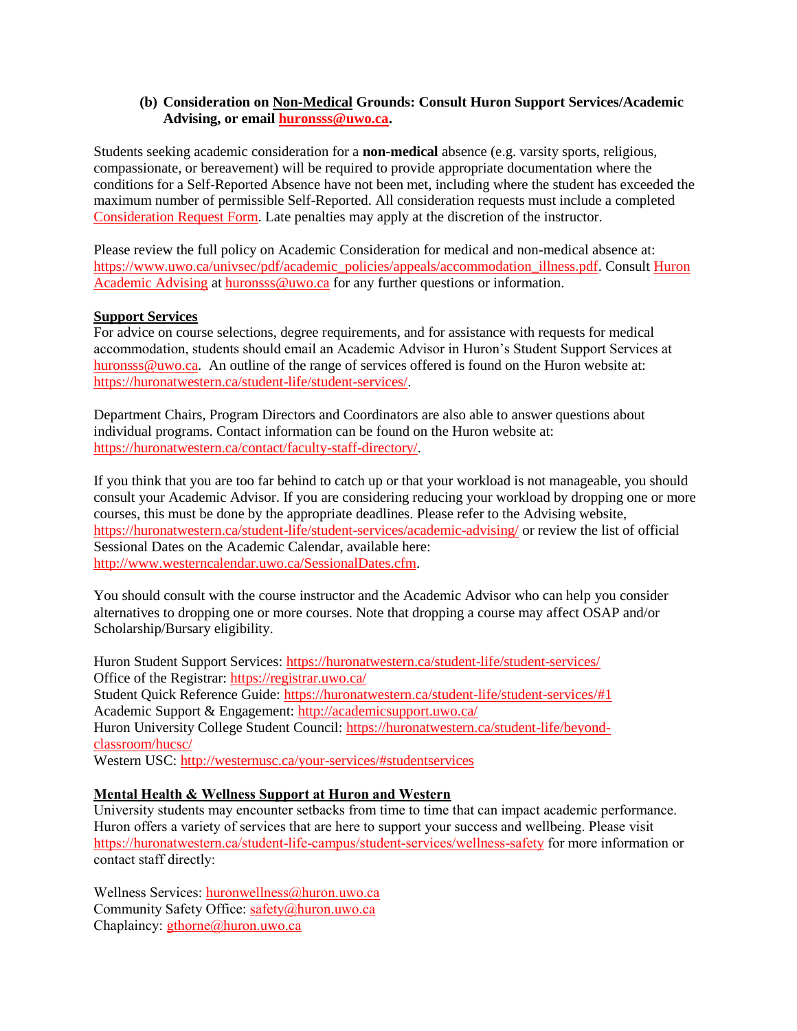### **(b) Consideration on Non-Medical Grounds: Consult Huron Support Services/Academic Advising, or email [huronsss@uwo.ca.](mailto:huronsss@uwo.ca)**

Students seeking academic consideration for a **non-medical** absence (e.g. varsity sports, religious, compassionate, or bereavement) will be required to provide appropriate documentation where the conditions for a Self-Reported Absence have not been met, including where the student has exceeded the maximum number of permissible Self-Reported. All consideration requests must include a completed [Consideration Request Form.](https://huronatwestern.ca/sites/default/files/Forms/Academic%20Consideration%20Request%20Form%202020.pdf) Late penalties may apply at the discretion of the instructor.

Please review the full policy on Academic Consideration for medical and non-medical absence at: [https://www.uwo.ca/univsec/pdf/academic\\_policies/appeals/accommodation\\_illness.pdf.](https://www.uwo.ca/univsec/pdf/academic_policies/appeals/accommodation_illness.pdf) Consult Huron [Academic Advising](https://huronatwestern.ca/student-life/student-services/academic-advising/) at [huronsss@uwo.ca](mailto:huronsss@uwo.ca) for any further questions or information.

### **Support Services**

For advice on course selections, degree requirements, and for assistance with requests for medical accommodation, students should email an Academic Advisor in Huron's Student Support Services at [huronsss@uwo.ca.](mailto:huronsss@uwo.ca) An outline of the range of services offered is found on the Huron website at: [https://huronatwestern.ca/student-life/student-services/.](https://huronatwestern.ca/student-life/student-services/)

Department Chairs, Program Directors and Coordinators are also able to answer questions about individual programs. Contact information can be found on the Huron website at: [https://huronatwestern.ca/contact/faculty-staff-directory/.](https://huronatwestern.ca/contact/faculty-staff-directory/)

If you think that you are too far behind to catch up or that your workload is not manageable, you should consult your Academic Advisor. If you are considering reducing your workload by dropping one or more courses, this must be done by the appropriate deadlines. Please refer to the Advising website, <https://huronatwestern.ca/student-life/student-services/academic-advising/> or review the list of official Sessional Dates on the Academic Calendar, available here: [http://www.westerncalendar.uwo.ca/SessionalDates.cfm.](http://www.westerncalendar.uwo.ca/SessionalDates.cfm)

You should consult with the course instructor and the Academic Advisor who can help you consider alternatives to dropping one or more courses. Note that dropping a course may affect OSAP and/or Scholarship/Bursary eligibility.

Huron Student Support Services:<https://huronatwestern.ca/student-life/student-services/> Office of the Registrar: <https://registrar.uwo.ca/> Student Quick Reference Guide:<https://huronatwestern.ca/student-life/student-services/#1> Academic Support & Engagement:<http://academicsupport.uwo.ca/> Huron University College Student Council: [https://huronatwestern.ca/student-life/beyond](https://huronatwestern.ca/student-life/beyond-classroom/hucsc/)[classroom/hucsc/](https://huronatwestern.ca/student-life/beyond-classroom/hucsc/)  Western USC:<http://westernusc.ca/your-services/#studentservices>

### **Mental Health & Wellness Support at Huron and Western**

University students may encounter setbacks from time to time that can impact academic performance. Huron offers a variety of services that are here to support your success and wellbeing. Please visit <https://huronatwestern.ca/student-life-campus/student-services/wellness-safety> for more information or contact staff directly:

Wellness Services: [huronwellness@huron.uwo.ca](mailto:huronwellness@huron.uwo.ca) Community Safety Office: [safety@huron.uwo.ca](mailto:safety@huron.uwo.ca) Chaplaincy: [gthorne@huron.uwo.ca](mailto:gthorne@huron.uwo.ca)